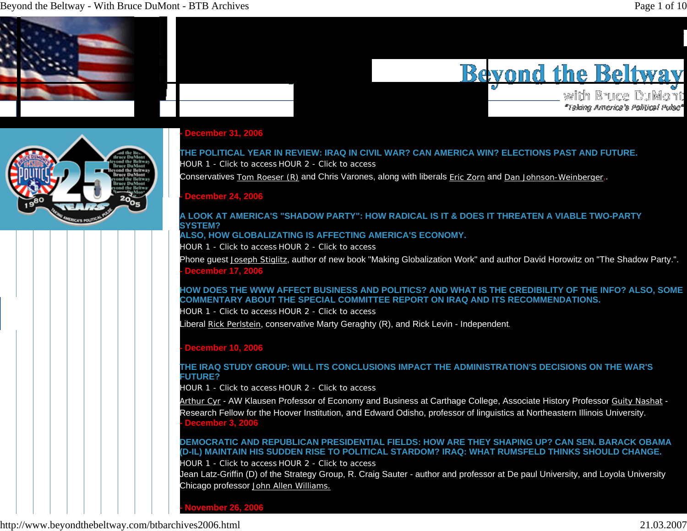#### Beyond the Beltway - With Bruce DuMont - BTB Archives **Page 1** of 10



# **Bevond the Beltway**

with Bruce DuMont "Taking America's Political Pulse"



#### **- December 31, 2006**

# **THE POLITICAL YEAR IN REVIEW: IRAQ IN CIVIL WAR? CAN AMERICA WIN? ELECTIONS PAST AND FUTURE.** HOUR 1 - Click to access HOUR 2 - Click to access

Conservatives **Tom Roeser (R)** and Chris Varones, along with liberals **Eric Zorn and Dan Johnson-Weinberger**,.

#### **- December 24, 2006**

#### **A LOOK AT AMERICA'S "SHADOW PARTY": HOW RADICAL IS IT & DOES IT THREATEN A VIABLE TWO-PARTY SYSTEM?**

#### **ALSO, HOW GLOBALIZATING IS AFFECTING AMERICA'S ECONOMY.**

HOUR 1 - Click to access HOUR 2 - Click to access

Phone guest Joseph Stiglitz, author of new book "Making Globalization Work" and author David Horowitz on "The Shadow Party.". **- December 17, 2006**

#### **HOW DOES THE WWW AFFECT BUSINESS AND POLITICS? AND WHAT IS THE CREDIBILITY OF THE INFO? ALSO, SOME COMMENTARY ABOUT THE SPECIAL COMMITTEE REPORT ON IRAQ AND ITS RECOMMENDATIONS.**

HOUR 1 - Click to access HOUR 2 - Click to access

Liberal Rick Perlstein, conservative Marty Geraghty (R), and Rick Levin - Independent.

#### **- December 10, 2006**

#### **THE IRAQ STUDY GROUP: WILL ITS CONCLUSIONS IMPACT THE ADMINISTRATION'S DECISIONS ON THE WAR'S FUTURE?**

HOUR 1 - Click to access HOUR 2 - Click to access

Arthur Cyr - AW Klausen Professor of Economy and Business at Carthage College, Associate History Professor Guity Nashat - Research Fellow for the Hoover Institution, and Edward Odisho, professor of linguistics at Northeastern Illinois University. **- December 3, 2006**

# **DEMOCRATIC AND REPUBLICAN PRESIDENTIAL FIELDS: HOW ARE THEY SHAPING UP? CAN SEN. BARACK OBAMA (D-IL) MAINTAIN HIS SUDDEN RISE TO POLITICAL STARDOM? IRAQ: WHAT RUMSFELD THINKS SHOULD CHANGE.**

HOUR 1 - Click to access HOUR 2 - Click to access

Jean Latz-Griffin (D) of the Strategy Group, R. Craig Sauter - author and professor at De paul University, and Loyola University Chicago professor John Allen Williams.

**- November 26, 2006**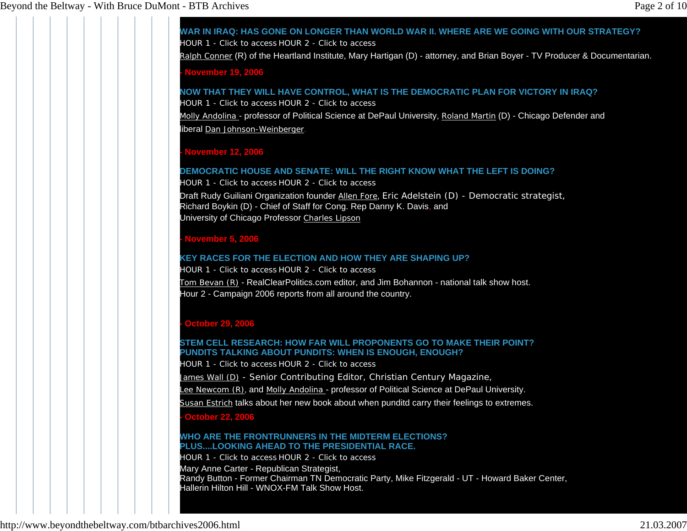**WAR IN IRAQ: HAS GONE ON LONGER THAN WORLD WAR II. WHERE ARE WE GOING WITH OUR STRATEGY?**HOUR 1 - Click to access HOUR 2 - Click to access

Ralph Conner (R) of the Heartland Institute, Mary Hartigan (D) - attorney, and Brian Boyer - TV Producer & Documentarian.

**- November 19, 2006**

**NOW THAT THEY WILL HAVE CONTROL, WHAT IS THE DEMOCRATIC PLAN FOR VICTORY IN IRAQ?**

HOUR 1 - Click to access HOUR 2 - Click to access

Molly Andolina - professor of Political Science at DePaul University, Roland Martin (D) - Chicago Defender and liberal Dan Johnson-Weinberger.

# **- November 12, 2006**

#### **DEMOCRATIC HOUSE AND SENATE: WILL THE RIGHT KNOW WHAT THE LEFT IS DOING?**HOUR 1 - Click to access HOUR 2 - Click to access

Draft Rudy Guiliani Organization founder <u>Allen Fore,</u> Eric Adelstein (D) - Democratic strategist, Richard Boykin (D) - Chief of Staff for Cong. Rep Danny K. Davis, and University of Chicago Professor Charles Lipson

#### **- November 5, 2006**

#### **KEY RACES FOR THE ELECTION AND HOW THEY ARE SHAPING UP?**

HOUR 1 - Click to access HOUR 2 - Click to access

Tom Bevan (R) - RealClearPolitics.com editor, and Jim Bohannon - national talk show host. Hour 2 - Campaign 2006 reports from all around the country.

# **- October 29, 2006**

#### **STEM CELL RESEARCH: HOW FAR WILL PROPONENTS GO TO MAKE THEIR POINT? PUNDITS TALKING ABOUT PUNDITS: WHEN IS ENOUGH, ENOUGH?**

HOUR 1 - Click to access HOUR 2 - Click to access

James Wall (D) - Senior Contributing Editor, Christian Century Magazine,

Lee Newcom (R), and Molly Andolina - professor of Political Science at DePaul University.

Susan Estrich talks about her new book about when punditd carry their feelings to extremes.

#### **- October 22, 2006**

#### **WHO ARE THE FRONTRUNNERS IN THE MIDTERM ELECTIONS? PLUS....LOOKING AHEAD TO THE PRESIDENTIAL RACE.**

HOUR 1 - Click to access HOUR 2 - Click to access Mary Anne Carter - Republican Strategist,

Randy Button - Former Chairman TN Democratic Party, Mike Fitzgerald - UT - Howard Baker Center, Hallerin Hilton Hill - WNOX-FM Talk Show Host.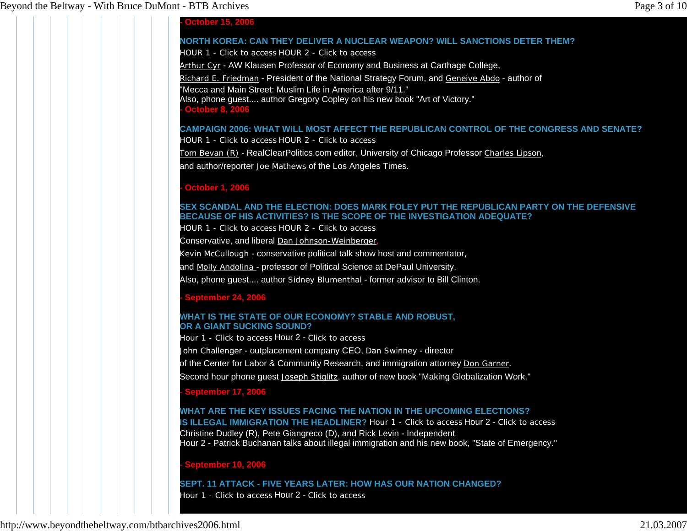#### **- October 15, 2006**

# **NORTH KOREA: CAN THEY DELIVER A NUCLEAR WEAPON? WILL SANCTIONS DETER THEM?**

HOUR 1 - Click to access HOUR 2 - Click to access

Arthur Cyr - AW Klausen Professor of Economy and Business at Carthage College,

Richard E. Friedman - President of the National Strategy Forum, and Geneive Abdo - author of

"Mecca and Main Street: Muslim Life in America after 9/11."

Also, phone guest.... author Gregory Copley on his new book "Art of Victory."

**- October 8, 2006**

# **CAMPAIGN 2006: WHAT WILL MOST AFFECT THE REPUBLICAN CONTROL OF THE CONGRESS AND SENATE?**

HOUR 1 - Click to access HOUR 2 - Click to access

Tom Bevan (R) - RealClearPolitics.com editor, University of Chicago Professor Charles Lipson,

and author/reporter Joe Mathews of the Los Angeles Times.

# **- October 1, 2006**

#### **SEX SCANDAL AND THE ELECTION: DOES MARK FOLEY PUT THE REPUBLICAN PARTY ON THE DEFENSIVE BECAUSE OF HIS ACTIVITIES? IS THE SCOPE OF THE INVESTIGATION ADEQUATE?**

HOUR 1 - Click to access HOUR 2 - Click to access

Conservative, and liberal Dan Johnson-Weinberger,

Kevin McCullough - conservative political talk show host and commentator,

and <u>Molly Andolina -</u> professor of Political Science at DePaul University.

Also, phone guest.... author Sidney Blumenthal - former advisor to Bill Clinton.

# **- September 24, 2006**

#### **WHAT IS THE STATE OF OUR ECONOMY? STABLE AND ROBUST, OR A GIANT SUCKING SOUND?**

Hour 1 - Click to access Hour 2 - Click to access

John Challenger - outplacement company CEO, Dan Swinney - director

of the Center for Labor & Community Research, and immigration attorney Don Garner.

Second hour phone guest Joseph Stiglitz, author of new book "Making Globalization Work."

# **- September 17, 2006**

# **WHAT ARE THE KEY ISSUES FACING THE NATION IN THE UPCOMING ELECTIONS?**

**IS ILLEGAL IMMIGRATION THE HEADLINER?** Hour 1 - Click to access Hour 2 - Click to access Christine Dudley (R), Pete Giangreco (D), and Rick Levin - Independent. Hour 2 - Patrick Buchanan talks about illegal immigration and his new book, "State of Emergency."

# **- September 10, 2006**

# **SEPT. 11 ATTACK - FIVE YEARS LATER: HOW HAS OUR NATION CHANGED?**

Hour 1 - Click to access Hour 2 - Click to access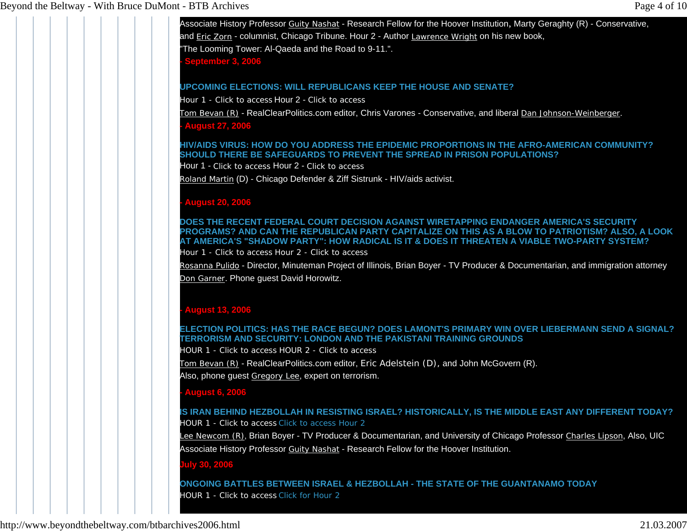Associate History Professor Guity Nashat - Research Fellow for the Hoover Institution, Marty Geraghty (R) - Conservative, and Eric Zorn - columnist, Chicago Tribune. Hour 2 - Author Lawrence Wright on his new book, The Looming Tower: Al-Qaeda and the Road to 9-11.". **- September 3, 2006**

#### **UPCOMING ELECTIONS: WILL REPUBLICANS KEEP THE HOUSE AND SENATE?**

Hour 1 - Click to access Hour 2 - Click to access

Tom Bevan (R) - RealClearPolitics.com editor, Chris Varones - Conservative, and liberal Dan Johnson-Weinberger.

**- August 27, 2006**

#### **HIV/AIDS VIRUS: HOW DO YOU ADDRESS THE EPIDEMIC PROPORTIONS IN THE AFRO-AMERICAN COMMUNITY? SHOULD THERE BE SAFEGUARDS TO PREVENT THE SPREAD IN PRISON POPULATIONS?**

Hour 1 - Click to access Hour 2 - Click to access

Roland Martin (D) - Chicago Defender & Ziff Sistrunk - HIV/aids activist.

#### **- August 20, 2006**

**DOES THE RECENT FEDERAL COURT DECISION AGAINST WIRETAPPING ENDANGER AMERICA'S SECURITY PROGRAMS? AND CAN THE REPUBLICAN PARTY CAPITALIZE ON THIS AS A BLOW TO PATRIOTISM? ALSO, A LOOK AT AMERICA'S "SHADOW PARTY": HOW RADICAL IS IT & DOES IT THREATEN A VIABLE TWO-PARTY SYSTEM?** 

Hour 1 - Click to access Hour 2 - Click to access

Rosanna Pulido - Director, Minuteman Project of Illinois, Brian Boyer - TV Producer & Documentarian, and immigration attorney <u>Don Garner</u>. Phone guest David Horowitz.

# **- August 13, 2006**

#### **ELECTION POLITICS: HAS THE RACE BEGUN? DOES LAMONT'S PRIMARY WIN OVER LIEBERMANN SEND A SIGNAL? TERRORISM AND SECURITY: LONDON AND THE PAKISTANI TRAINING GROUNDS**

HOUR 1 - Click to access HOUR 2 - Click to access

Tom Bevan (R) - RealClearPolitics.com editor, Eric Adelstein (D), and John McGovern (R).

Also, phone guest Gregory Lee, expert on terrorism.

#### **- August 6, 2006**

## **IS IRAN BEHIND HEZBOLLAH IN RESISTING ISRAEL? HISTORICALLY, IS THE MIDDLE EAST ANY DIFFERENT TODAY?** HOUR 1 - Click to access Click to access Hour 2

Lee Newcom (R), Brian Boyer - TV Producer & Documentarian, and University of Chicago Professor Charles Lipson, Also, UIC Associate History Professor Guity Nashat - Research Fellow for the Hoover Institution.

#### **July 30, 2006**

#### **ONGOING BATTLES BETWEEN ISRAEL & HEZBOLLAH - THE STATE OF THE GUANTANAMO TODAY**  HOUR 1 - Click to access Click for Hour 2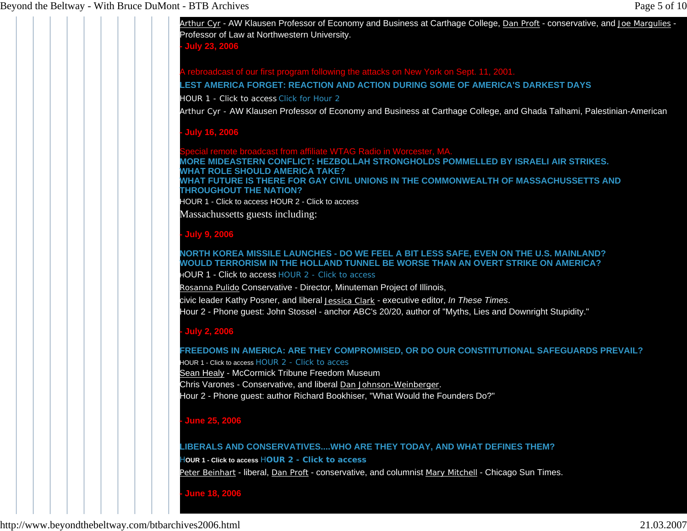Arthur Cyr - AW Klausen Professor of Economy and Business at Carthage College, Dan Proft - conservative, and Joe Margulies -Professor of Law at Northwestern University.

**- July 23, 2006**

cast of our first program following the attacks on New York on Sept. 11, 2001.

**LEST AMERICA FORGET: REACTION AND ACTION DURING SOME OF AMERICA'S DARKEST DAYS**

HOUR 1 - Click to access Click for Hour 2

Arthur Cyr - AW Klausen Professor of Economy and Business at Carthage College, and Ghada Talhami, Palestinian-American

## **- July 16, 2006**

broadcast from affiliate WTAG Radio in Worcester, MA **MORE MIDEASTERN CONFLICT: HEZBOLLAH STRONGHOLDS POMMELLED BY ISRAELI AIR STRIKES. WHAT ROLE SHOULD AMERICA TAKE? WHAT FUTURE IS THERE FOR GAY CIVIL UNIONS IN THE COMMONWEALTH OF MASSACHUSSETTS AND THROUGHOUT THE NATION?**HOUR 1 - Click to access HOUR 2 - Click to access

Massachussetts guests including:

# **- July 9, 2006**

# **NORTH KOREA MISSILE LAUNCHES - DO WE FEEL A BIT LESS SAFE, EVEN ON THE U.S. MAINLAND? WOULD TERRORISM IN THE HOLLAND TUNNEL BE WORSE THAN AN OVERT STRIKE ON AMERICA?**

HOUR 1 - Click to access HOUR 2 - Click to access

Rosanna Pulido Conservative - Director, Minuteman Project of Illinois,

civic leader Kathy Posner, and liberal Jessica Clark - executive editor, *In These Times*. Hour 2 - Phone guest: John Stossel - anchor ABC's 20/20, author of "Myths, Lies and Downright Stupidity."

# **- July 2, 2006**

#### **FREEDOMS IN AMERICA: ARE THEY COMPROMISED, OR DO OUR CONSTITUTIONAL SAFEGUARDS PREVAIL?** HOUR 1 - Click to access HOUR 2 - Click to acces

Sean Healy - McCormick Tribune Freedom Museum

Chris Varones - Conservative, and liberal Dan Johnson-Weinberger.

Hour 2 - Phone guest: author Richard Bookhiser, "What Would the Founders Do?"

# **- June 25, 2006**

#### **LIBERALS AND CONSERVATIVES....WHO ARE THEY TODAY, AND WHAT DEFINES THEM?**

H**OUR 1 - Click to access** H**OUR 2 - Click to access**

Peter Beinhart - liberal, Dan Proft - conservative, and columnist Mary Mitchell - Chicago Sun Times.

# **- June 18, 2006**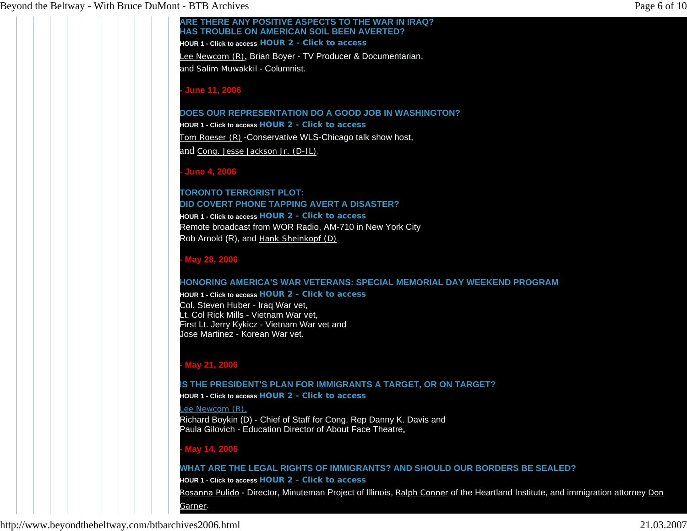#### **ARE THERE ANY POSITIVE ASPECTS TO THE WAR IN IRAQ? HAS TROUBLE ON AMERICAN SOIL BEEN AVERTED?**

**HOUR 1 - Click to access HOUR 2 - Click to access**

Lee Newcom (R), Brian Boyer - TV Producer & Documentarian,

and Salim Muwakkil - Columnist.

## **- June 11, 2006**

**DOES OUR REPRESENTATION DO A GOOD JOB IN WASHINGTON?**

**HOUR 1 - Click to access HOUR 2 - Click to access** Tom Roeser (R) -Conservative WLS-Chicago talk show host, and Cong. Jesse Jackson Jr. (D-IL).

# **- June 4, 2006**

# **TORONTO TERRORIST PLOT: DID COVERT PHONE TAPPING AVERT A DISASTER?HOUR 1 - Click to access HOUR 2 - Click to access**Remote broadcast from WOR Radio, AM-710 in New York City Rob Arnold (R), and Hank Sheinkopf (D).

# **- May 28, 2006**

# **HONORING AMERICA'S WAR VETERANS: SPECIAL MEMORIAL DAY WEEKEND PROGRAM**

# **HOUR 1 - Click to access HOUR 2 - Click to access**

Col. Steven Huber - Iraq War vet, Lt. Col Rick Mills - Vietnam War vet, First Lt. Jerry Kykicz - Vietnam War vet and Jose Martinez - Korean War vet.

# **- May 21, 2006**

# **IS THE PRESIDENT'S PLAN FOR IMMIGRANTS A TARGET, OR ON TARGET?**

**HOUR 1 - Click to access HOUR 2 - Click to access**

#### Lee Newcom (R),

Richard Boykin (D) - Chief of Staff for Cong. Rep Danny K. Davis and Paula Gilovich - Education Director of About Face Theatre**.**

# **- May 14, 2006**

# **WHAT ARE THE LEGAL RIGHTS OF IMMIGRANTS? AND SHOULD OUR BORDERS BE SEALED? HOUR 1 - Click to access HOUR 2 - Click to access**Rosanna Pulido - Director, Minuteman Project of Illinois, Ralph Conner of the Heartland Institute, and immigration attorney Don Garner.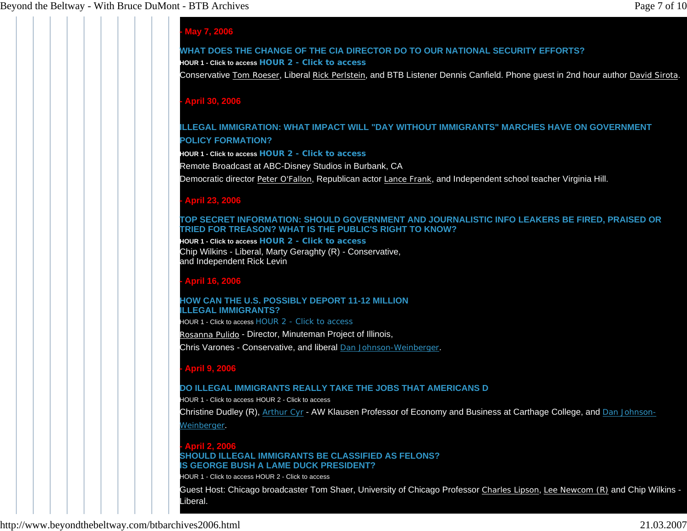# **- May 7, 2006**

#### **WHAT DOES THE CHANGE OF THE CIA DIRECTOR DO TO OUR NATIONAL SECURITY EFFORTS? HOUR 1 - Click to access HOUR 2 - Click to access**

Conservative Tom Roeser, Liberal Rick Perlstein, and BTB Listener Dennis Canfield. Phone guest in 2nd hour author David Sirota.

#### **- April 30, 2006**

# **ILLEGAL IMMIGRATION: WHAT IMPACT WILL "DAY WITHOUT IMMIGRANTS" MARCHES HAVE ON GOVERNMENT POLICY FORMATION?**

**HOUR 1 - Click to access HOUR 2 - Click to access**

Remote Broadcast at ABC-Disney Studios in Burbank, CA

Democratic director Peter O'Fallon, Republican actor Lance Frank, and Independent school teacher Virginia Hill.

#### **- April 23, 2006**

#### **TOP SECRET INFORMATION: SHOULD GOVERNMENT AND JOURNALISTIC INFO LEAKERS BE FIRED, PRAISED OR TRIED FOR TREASON? WHAT IS THE PUBLIC'S RIGHT TO KNOW?**

**HOUR 1 - Click to access HOUR 2 - Click to access**  Chip Wilkins - Liberal, Marty Geraghty (R) - Conservative, and Independent Rick Levin

## **- April 16, 2006**

#### **HOW CAN THE U.S. POSSIBLY DEPORT 11-12 MILLION ILLEGAL IMMIGRANTS?**

HOUR 1 - Click to access HOUR 2 - Click to access

Rosanna Pulido - Director, Minuteman Project of Illinois,

Chris Varones - Conservative, and liberal Dan Johnson-Weinberger.

# **- April 9, 2006**

#### **DO ILLEGAL IMMIGRANTS REALLY TAKE THE JOBS THAT AMERICANS D**

HOUR 1 - Click to access HOUR 2 - Click to access

Christine Dudley (R), Arthur Cyr - AW Klausen Professor of Economy and Business at Carthage College, and Dan Johnson-Weinberger.

#### **- April 2, 2006 SHOULD ILLEGAL IMMIGRANTS BE CLASSIFIED AS FELONS? IS GEORGE BUSH A LAME DUCK PRESIDENT?**

HOUR 1 - Click to access HOUR 2 - Click to access

Guest Host: Chicago broadcaster Tom Shaer, University of Chicago Professor Charles Lipson, Lee Newcom (R) and Chip Wilkins -Liberal.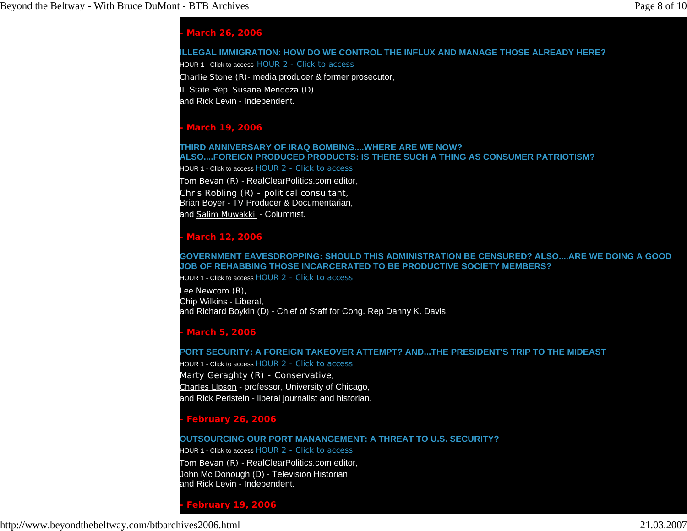# **- March 26, 2006**

## **ILLEGAL IMMIGRATION: HOW DO WE CONTROL THE INFLUX AND MANAGE THOSE ALREADY HERE?**

HOUR 1 - Click to access HOUR 2 - Click to access

Charlie Stone (R)- media producer & former prosecutor,

IL State Rep. Susana Mendoza (D)

and Rick Levin - Independent.

# **- March 19, 2006**

# **THIRD ANNIVERSARY OF IRAQ BOMBING....WHERE ARE WE NOW? ALSO....FOREIGN PRODUCED PRODUCTS: IS THERE SUCH A THING AS CONSUMER PATRIOTISM?**

HOUR 1 - Click to access HOUR 2 - Click to access

Tom Bevan (R) - RealClearPolitics.com editor, Chris Robling (R) - political consultant, Brian Boyer - TV Producer & Documentarian, and Salim Muwakkil - Columnist.

# **- March 12, 2006**

#### **GOVERNMENT EAVESDROPPING: SHOULD THIS ADMINISTRATION BE CENSURED? ALSO....ARE WE DOING A GOOD JOB OF REHABBING THOSE INCARCERATED TO BE PRODUCTIVE SOCIETY MEMBERS?**

HOUR 1 - Click to access HOUR 2 - Click to access

Lee Newcom (R), Chip Wilkins - Liberal, and Richard Boykin (D) - Chief of Staff for Cong. Rep Danny K. Davis.

# **- March 5, 2006**

#### **PORT SECURITY: A FOREIGN TAKEOVER ATTEMPT? AND...THE PRESIDENT'S TRIP TO THE MIDEAST**

HOUR 1 - Click to access HOUR 2 - Click to accessMarty Geraghty (R) - Conservative, Charles Lipson - professor, University of Chicago, and Rick Perlstein - liberal journalist and historian.

# **- February 26, 2006**

#### **OUTSOURCING OUR PORT MANANGEMENT: A THREAT TO U.S. SECURITY?**

HOUR 1 - Click to access HOUR 2 - Click to access

Tom Bevan (R) - RealClearPolitics.com editor, John Mc Donough (D) - Television Historian,

and Rick Levin - Independent.

**- February 19, 2006**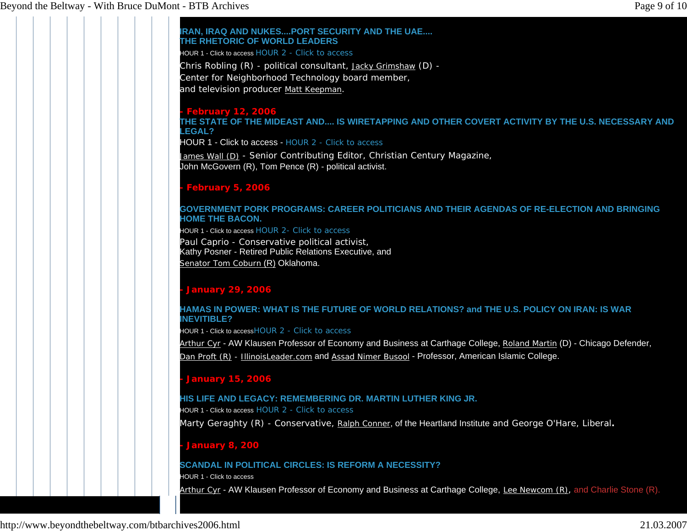**IRAN, IRAQ AND NUKES....PORT SECURITY AND THE UAE.... THE RHETORIC OF WORLD LEADERS**HOUR 1 - Click to access HOUR 2 - Click to accessChris Robling (R) - political consultant, Jacky Grimshaw (D) -Center for Neighborhood Technology board member, and television producer Matt Keepman. **- February 12, 2006 THE STATE OF THE MIDEAST AND.... IS WIRETAPPING AND OTHER COVERT ACTIVITY BY THE U.S. NECESSARY AND LEGAL?**HOUR 1 - Click to access - HOUR 2 - Click to accessJames Wall (D) - Senior Contributing Editor, Christian Century Magazine, John McGovern (R), Tom Pence (R) - political activist. **- February 5, 2006 GOVERNMENT PORK PROGRAMS: CAREER POLITICIANS AND THEIR AGENDAS OF RE-ELECTION AND BRINGING HOME THE BACON.**HOUR 1 - Click to access HOUR 2- Click to access Paul Caprio - Conservative political activist, Kathy Posner - Retired Public Relations Executive, and Senator Tom Coburn (R) Oklahoma. **- January 29, 2006 HAMAS IN POWER: WHAT IS THE FUTURE OF WORLD RELATIONS? and THE U.S. POLICY ON IRAN: IS WAR INEVITIBLE?** HOUR 1 - Click to accessHOUR 2 - Click to access Arthur Cyr - AW Klausen Professor of Economy and Business at Carthage College, Roland Martin (D) - Chicago Defender, Dan Proft (R) - IllinoisLeader.com and Assad Nimer Busool - Professor, American Islamic College. **- January 15, 2006 HIS LIFE AND LEGACY: REMEMBERING DR. MARTIN LUTHER KING JR.**HOUR 1 - Click to access HOUR 2 - Click to accessMarty Geraghty (R) - Conservative, Ralph Conner, of the Heartland Institute and George O'Hare, Liberal**. - January 8, 200 SCANDAL IN POLITICAL CIRCLES: IS REFORM A NECESSITY?**HOUR 1 - Click to accessBeyond the Beltway - With Bruce DuMont - BTB Archives Page 9 of 10

Arthur Cyr - AW Klausen Professor of Economy and Business at Carthage College, Lee Newcom (R), and Charlie Stone (R).